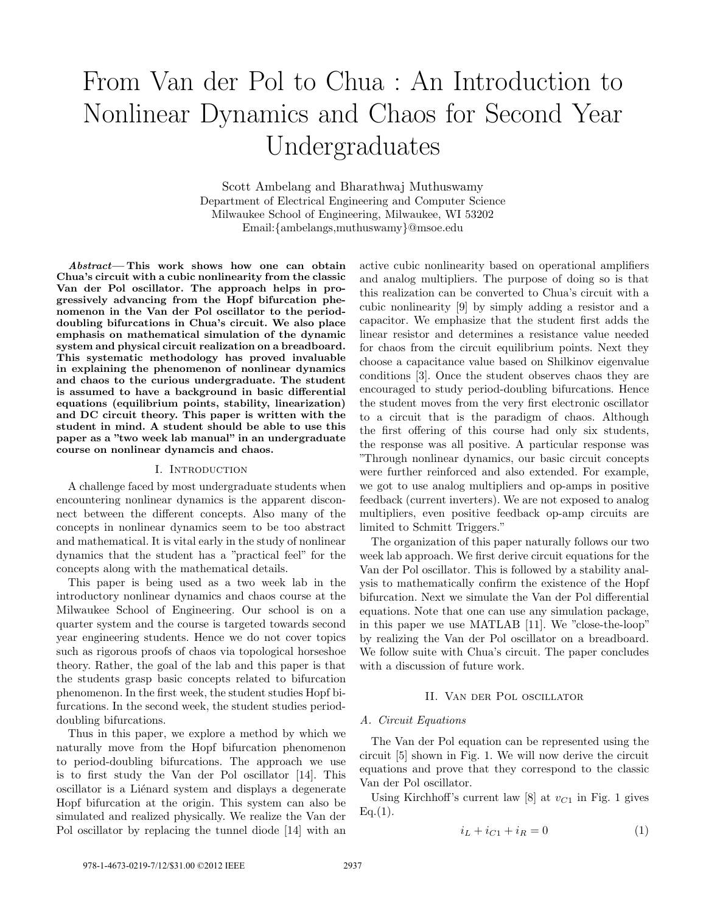# From Van der Pol to Chua : An Introduction to Nonlinear Dynamics and Chaos for Second Year Undergraduates

Scott Ambelang and Bharathwaj Muthuswamy Department of Electrical Engineering and Computer Science Milwaukee School of Engineering, Milwaukee, WI 53202 Email:{ambelangs,muthuswamy}@msoe.edu

Abstract— This work shows how one can obtain Chua's circuit with a cubic nonlinearity from the classic Van der Pol oscillator. The approach helps in progressively advancing from the Hopf bifurcation phenomenon in the Van der Pol oscillator to the perioddoubling bifurcations in Chua's circuit. We also place emphasis on mathematical simulation of the dynamic system and physical circuit realization on a breadboard. This systematic methodology has proved invaluable in explaining the phenomenon of nonlinear dynamics and chaos to the curious undergraduate. The student is assumed to have a background in basic differential equations (equilibrium points, stability, linearization) and DC circuit theory. This paper is written with the student in mind. A student should be able to use this paper as a "two week lab manual" in an undergraduate course on nonlinear dynamcis and chaos.

## I. Introduction

A challenge faced by most undergraduate students when encountering nonlinear dynamics is the apparent disconnect between the different concepts. Also many of the concepts in nonlinear dynamics seem to be too abstract and mathematical. It is vital early in the study of nonlinear dynamics that the student has a "practical feel" for the concepts along with the mathematical details.

This paper is being used as a two week lab in the introductory nonlinear dynamics and chaos course at the Milwaukee School of Engineering. Our school is on a quarter system and the course is targeted towards second year engineering students. Hence we do not cover topics such as rigorous proofs of chaos via topological horseshoe theory. Rather, the goal of the lab and this paper is that the students grasp basic concepts related to bifurcation phenomenon. In the first week, the student studies Hopf bifurcations. In the second week, the student studies perioddoubling bifurcations.

Thus in this paper, we explore a method by which we naturally move from the Hopf bifurcation phenomenon to period-doubling bifurcations. The approach we use is to first study the Van der Pol oscillator [14]. This oscillator is a Liénard system and displays a degenerate Hopf bifurcation at the origin. This system can also be simulated and realized physically. We realize the Van der Pol oscillator by replacing the tunnel diode [14] with an active cubic nonlinearity based on operational amplifiers and analog multipliers. The purpose of doing so is that this realization can be converted to Chua's circuit with a cubic nonlinearity [9] by simply adding a resistor and a capacitor. We emphasize that the student first adds the linear resistor and determines a resistance value needed for chaos from the circuit equilibrium points. Next they choose a capacitance value based on Shilkinov eigenvalue conditions [3]. Once the student observes chaos they are encouraged to study period-doubling bifurcations. Hence the student moves from the very first electronic oscillator to a circuit that is the paradigm of chaos. Although the first offering of this course had only six students, the response was all positive. A particular response was "Through nonlinear dynamics, our basic circuit concepts were further reinforced and also extended. For example, we got to use analog multipliers and op-amps in positive feedback (current inverters). We are not exposed to analog multipliers, even positive feedback op-amp circuits are limited to Schmitt Triggers."

The organization of this paper naturally follows our two week lab approach. We first derive circuit equations for the Van der Pol oscillator. This is followed by a stability analysis to mathematically confirm the existence of the Hopf bifurcation. Next we simulate the Van der Pol differential equations. Note that one can use any simulation package, in this paper we use MATLAB [11]. We "close-the-loop" by realizing the Van der Pol oscillator on a breadboard. We follow suite with Chua's circuit. The paper concludes with a discussion of future work.

### II. Van der Pol oscillator

#### A. Circuit Equations

The Van der Pol equation can be represented using the circuit [5] shown in Fig. 1. We will now derive the circuit equations and prove that they correspond to the classic Van der Pol oscillator.

Using Kirchhoff's current law [8] at  $v_{C1}$  in Fig. 1 gives  $Eq.(1).$ 

$$
i_L + i_{C1} + i_R = 0 \tag{1}
$$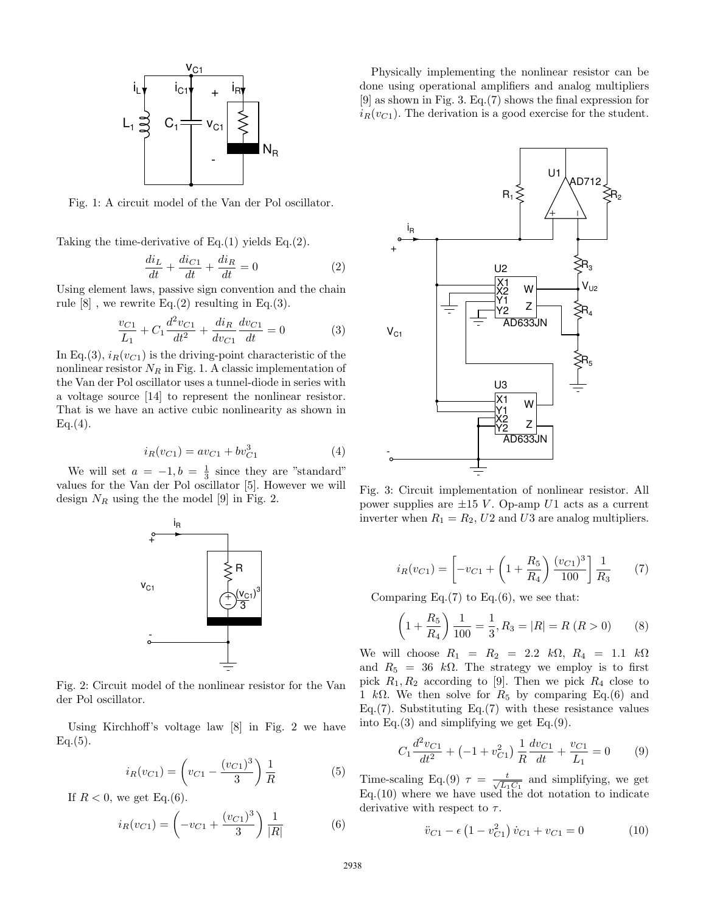

Fig. 1: A circuit model of the Van der Pol oscillator.

Taking the time-derivative of Eq. $(1)$  yields Eq. $(2)$ .

$$
\frac{di_L}{dt} + \frac{di_{C1}}{dt} + \frac{di_R}{dt} = 0\tag{2}
$$

Using element laws, passive sign convention and the chain rule  $[8]$ , we rewrite Eq. $(2)$  resulting in Eq. $(3)$ .

$$
\frac{v_{C1}}{L_1} + C_1 \frac{d^2 v_{C1}}{dt^2} + \frac{di_R}{dv_{C1}} \frac{dv_{C1}}{dt} = 0
$$
 (3)

In Eq.(3),  $i_R(v_{C1})$  is the driving-point characteristic of the nonlinear resistor  $N_R$  in Fig. 1. A classic implementation of the Van der Pol oscillator uses a tunnel-diode in series with a voltage source [14] to represent the nonlinear resistor. That is we have an active cubic nonlinearity as shown in  $Eq.(4).$ 

$$
i_R(v_{C1}) = av_{C1} + bv_{C1}^3 \tag{4}
$$

We will set  $a = -1, b = \frac{1}{3}$  since they are "standard" values for the Van der Pol oscillator [5]. However we will design  $N_R$  using the the model [9] in Fig. 2.



Fig. 2: Circuit model of the nonlinear resistor for the Van der Pol oscillator.

Using Kirchhoff's voltage law [8] in Fig. 2 we have  $Eq.(5)$ .

$$
i_R(v_{C1}) = \left(v_{C1} - \frac{(v_{C1})^3}{3}\right) \frac{1}{R}
$$
 (5)

If  $R < 0$ , we get Eq.(6).

$$
i_R(v_{C1}) = \left(-v_{C1} + \frac{(v_{C1})^3}{3}\right) \frac{1}{|R|} \tag{6}
$$

Physically implementing the nonlinear resistor can be done using operational amplifiers and analog multipliers [9] as shown in Fig. 3. Eq.(7) shows the final expression for  $i_R(v_{C1})$ . The derivation is a good exercise for the student.



Fig. 3: Circuit implementation of nonlinear resistor. All power supplies are  $\pm 15$  V. Op-amp U1 acts as a current inverter when  $R_1 = R_2$ , U2 and U3 are analog multipliers.

$$
i_R(v_{C1}) = \left[ -v_{C1} + \left( 1 + \frac{R_5}{R_4} \right) \frac{(v_{C1})^3}{100} \right] \frac{1}{R_3} \tag{7}
$$

Comparing Eq. $(7)$  to Eq. $(6)$ , we see that:

$$
\left(1 + \frac{R_5}{R_4}\right) \frac{1}{100} = \frac{1}{3}, R_3 = |R| = R (R > 0) \tag{8}
$$

We will choose  $R_1 = R_2 = 2.2 \text{ k}\Omega$ ,  $R_4 = 1.1 \text{ k}\Omega$ and  $R_5 = 36 \; k\Omega$ . The strategy we employ is to first pick  $R_1, R_2$  according to [9]. Then we pick  $R_4$  close to 1 kΩ. We then solve for  $R_5$  by comparing Eq.(6) and Eq.(7). Substituting Eq.(7) with these resistance values into  $Eq.(3)$  and simplifying we get  $Eq.(9)$ .

$$
C_1 \frac{d^2 v_{C1}}{dt^2} + \left(-1 + v_{C1}^2\right) \frac{1}{R} \frac{dv_{C1}}{dt} + \frac{v_{C1}}{L_1} = 0 \tag{9}
$$

Time-scaling Eq.(9)  $\tau = \frac{t}{\sqrt{L_1 C_1}}$  and simplifying, we get Eq.(10) where we have used the dot notation to indicate derivative with respect to  $\tau$ .

$$
\ddot{v}_{C1} - \epsilon \left(1 - v_{C1}^2\right) \dot{v}_{C1} + v_{C1} = 0 \tag{10}
$$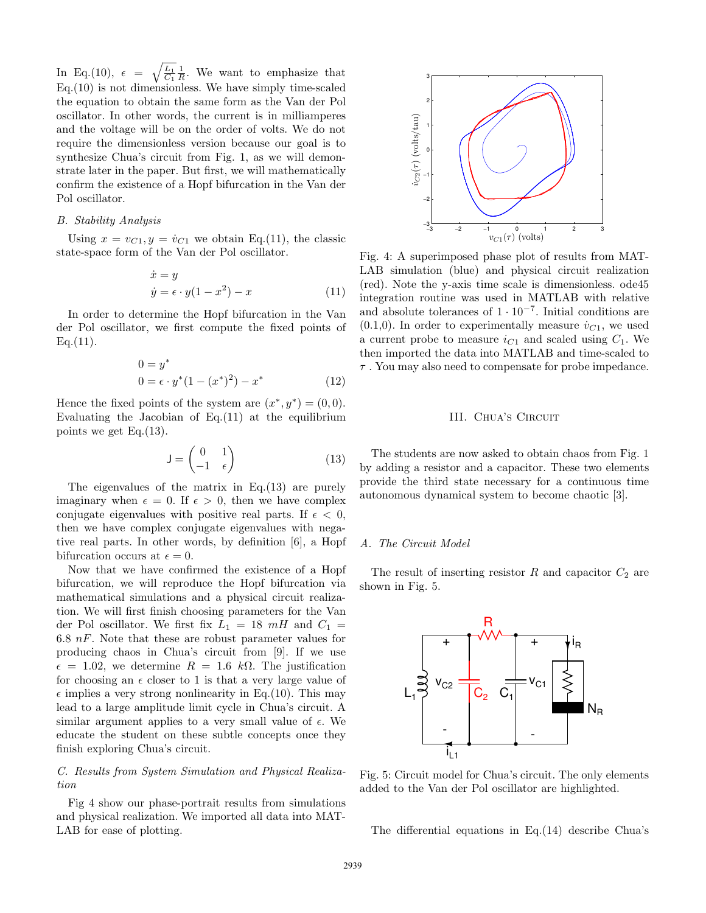In Eq.(10),  $\epsilon = \sqrt{\frac{L_1}{C_1}} \frac{1}{R}$ . We want to emphasize that  $Eq.(10)$  is not dimensionless. We have simply time-scaled the equation to obtain the same form as the Van der Pol oscillator. In other words, the current is in milliamperes and the voltage will be on the order of volts. We do not require the dimensionless version because our goal is to synthesize Chua's circuit from Fig. 1, as we will demonstrate later in the paper. But first, we will mathematically confirm the existence of a Hopf bifurcation in the Van der Pol oscillator.

#### B. Stability Analysis

Using  $x = v_{C1}, y = \dot{v}_{C1}$  we obtain Eq.(11), the classic state-space form of the Van der Pol oscillator.

$$
\begin{aligned}\n\dot{x} &= y\\ \n\dot{y} &= \epsilon \cdot y(1 - x^2) - x\n\end{aligned} \tag{11}
$$

In order to determine the Hopf bifurcation in the Van der Pol oscillator, we first compute the fixed points of  $Eq.(11).$ 

$$
0 = y^*
$$
  
\n
$$
0 = \epsilon \cdot y^*(1 - (x^*)^2) - x^*
$$
\n(12)

Hence the fixed points of the system are  $(x^*, y^*) = (0, 0)$ . Evaluating the Jacobian of  $Eq.(11)$  at the equilibrium points we get Eq.(13).

$$
\mathsf{J} = \begin{pmatrix} 0 & 1 \\ -1 & \epsilon \end{pmatrix} \tag{13}
$$

The eigenvalues of the matrix in Eq.(13) are purely imaginary when  $\epsilon = 0$ . If  $\epsilon > 0$ , then we have complex conjugate eigenvalues with positive real parts. If  $\epsilon < 0$ , then we have complex conjugate eigenvalues with negative real parts. In other words, by definition [6], a Hopf bifurcation occurs at  $\epsilon = 0$ .

Now that we have confirmed the existence of a Hopf bifurcation, we will reproduce the Hopf bifurcation via mathematical simulations and a physical circuit realization. We will first finish choosing parameters for the Van der Pol oscillator. We first fix  $L_1 = 18$  mH and  $C_1 =$ 6.8  $nF$ . Note that these are robust parameter values for producing chaos in Chua's circuit from [9]. If we use  $\epsilon = 1.02$ , we determine  $R = 1.6 \; k\Omega$ . The justification for choosing an  $\epsilon$  closer to 1 is that a very large value of  $\epsilon$  implies a very strong nonlinearity in Eq.(10). This may lead to a large amplitude limit cycle in Chua's circuit. A similar argument applies to a very small value of  $\epsilon$ . We educate the student on these subtle concepts once they finish exploring Chua's circuit.

## C. Results from System Simulation and Physical Realization

Fig 4 show our phase-portrait results from simulations and physical realization. We imported all data into MAT-LAB for ease of plotting.



Fig. 4: A superimposed phase plot of results from MAT-LAB simulation (blue) and physical circuit realization (red). Note the y-axis time scale is dimensionless. ode45 integration routine was used in MATLAB with relative and absolute tolerances of  $1 \cdot 10^{-7}$ . Initial conditions are  $(0.1,0)$ . In order to experimentally measure  $\dot{v}_{C1}$ , we used a current probe to measure  $i_{C1}$  and scaled using  $C_1$ . We then imported the data into MATLAB and time-scaled to  $\tau$ . You may also need to compensate for probe impedance.

#### III. CHUA'S CIRCUIT

The students are now asked to obtain chaos from Fig. 1 by adding a resistor and a capacitor. These two elements provide the third state necessary for a continuous time autonomous dynamical system to become chaotic [3].

#### A. The Circuit Model

The result of inserting resistor  $R$  and capacitor  $C_2$  are shown in Fig. 5.



Fig. 5: Circuit model for Chua's circuit. The only elements added to the Van der Pol oscillator are highlighted.

The differential equations in Eq.(14) describe Chua's